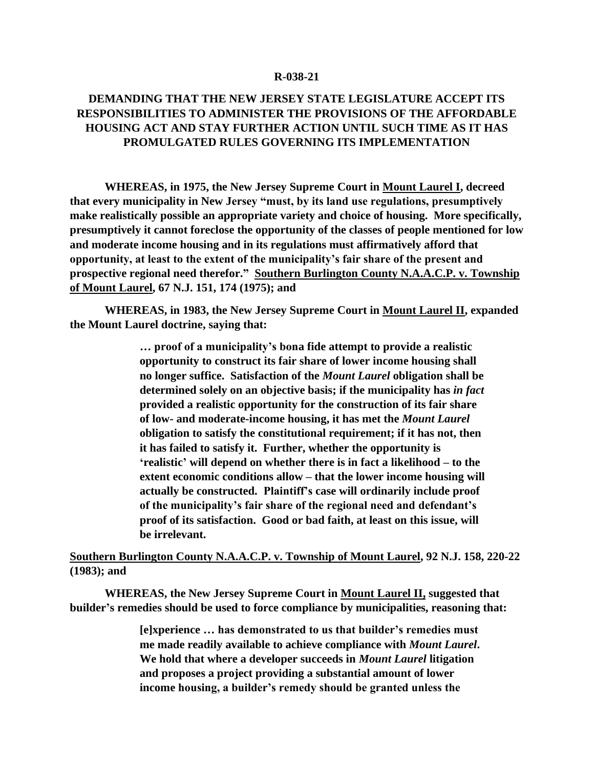## **R-038-21**

## **DEMANDING THAT THE NEW JERSEY STATE LEGISLATURE ACCEPT ITS RESPONSIBILITIES TO ADMINISTER THE PROVISIONS OF THE AFFORDABLE HOUSING ACT AND STAY FURTHER ACTION UNTIL SUCH TIME AS IT HAS PROMULGATED RULES GOVERNING ITS IMPLEMENTATION**

**WHEREAS, in 1975, the New Jersey Supreme Court in Mount Laurel I, decreed that every municipality in New Jersey "must, by its land use regulations, presumptively make realistically possible an appropriate variety and choice of housing. More specifically, presumptively it cannot foreclose the opportunity of the classes of people mentioned for low and moderate income housing and in its regulations must affirmatively afford that opportunity, at least to the extent of the municipality's fair share of the present and prospective regional need therefor." Southern Burlington County N.A.A.C.P. v. Township of Mount Laurel, 67 N.J. 151, 174 (1975); and**

**WHEREAS, in 1983, the New Jersey Supreme Court in Mount Laurel II, expanded the Mount Laurel doctrine, saying that:**

> **… proof of a municipality's bona fide attempt to provide a realistic opportunity to construct its fair share of lower income housing shall no longer suffice. Satisfaction of the** *Mount Laurel* **obligation shall be determined solely on an objective basis; if the municipality has** *in fact* **provided a realistic opportunity for the construction of its fair share of low- and moderate-income housing, it has met the** *Mount Laurel* **obligation to satisfy the constitutional requirement; if it has not, then it has failed to satisfy it. Further, whether the opportunity is 'realistic' will depend on whether there is in fact a likelihood – to the extent economic conditions allow – that the lower income housing will actually be constructed. Plaintiff's case will ordinarily include proof of the municipality's fair share of the regional need and defendant's proof of its satisfaction. Good or bad faith, at least on this issue, will be irrelevant.**

## **Southern Burlington County N.A.A.C.P. v. Township of Mount Laurel, 92 N.J. 158, 220-22 (1983); and**

**WHEREAS, the New Jersey Supreme Court in Mount Laurel II, suggested that builder's remedies should be used to force compliance by municipalities, reasoning that:**

> **[e]xperience … has demonstrated to us that builder's remedies must me made readily available to achieve compliance with** *Mount Laurel***. We hold that where a developer succeeds in** *Mount Laurel* **litigation and proposes a project providing a substantial amount of lower income housing, a builder's remedy should be granted unless the**